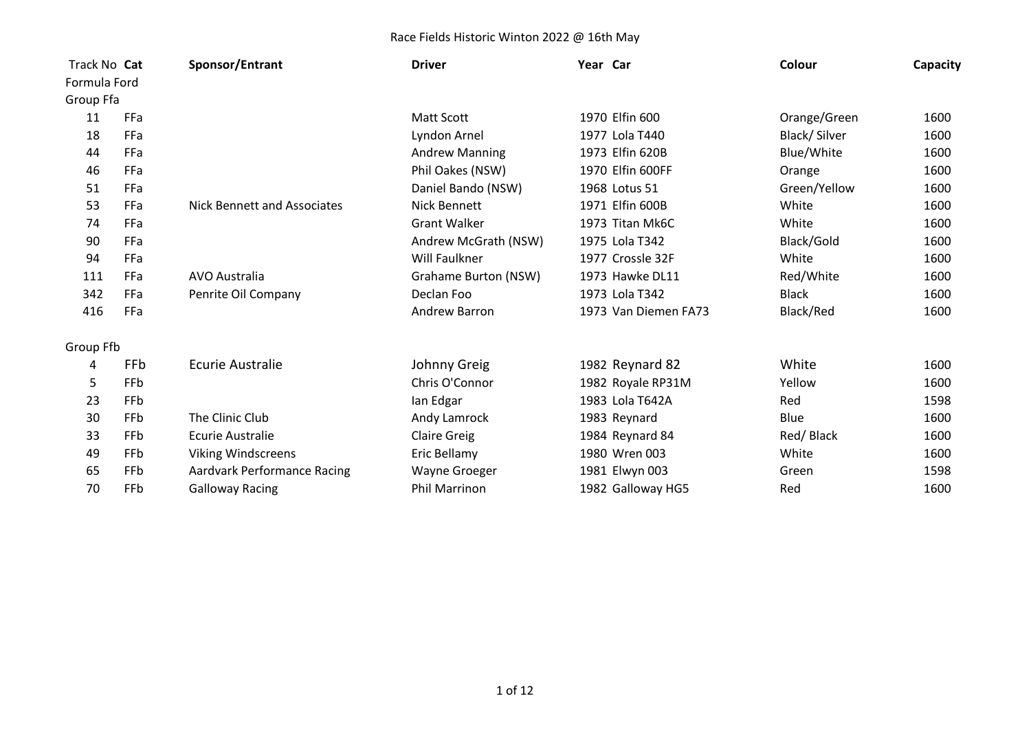| Track No Cat |     | Sponsor/Entrant             | <b>Driver</b>         | Year Car |                      | Colour       | Capacity |
|--------------|-----|-----------------------------|-----------------------|----------|----------------------|--------------|----------|
| Formula Ford |     |                             |                       |          |                      |              |          |
| Group Ffa    |     |                             |                       |          |                      |              |          |
| 11           | FFa |                             | Matt Scott            |          | 1970 Elfin 600       | Orange/Green | 1600     |
| 18           | FFa |                             | Lyndon Arnel          |          | 1977 Lola T440       | Black/Silver | 1600     |
| 44           | FFa |                             | <b>Andrew Manning</b> |          | 1973 Elfin 620B      | Blue/White   | 1600     |
| 46           | FFa |                             | Phil Oakes (NSW)      |          | 1970 Elfin 600FF     | Orange       | 1600     |
| 51           | FFa |                             | Daniel Bando (NSW)    |          | 1968 Lotus 51        | Green/Yellow | 1600     |
| 53           | FFa | Nick Bennett and Associates | Nick Bennett          |          | 1971 Elfin 600B      | White        | 1600     |
| 74           | FFa |                             | <b>Grant Walker</b>   |          | 1973 Titan Mk6C      | White        | 1600     |
| 90           | FFa |                             | Andrew McGrath (NSW)  |          | 1975 Lola T342       | Black/Gold   | 1600     |
| 94           | FFa |                             | Will Faulkner         |          | 1977 Crossle 32F     | White        | 1600     |
| 111          | FFa | AVO Australia               | Grahame Burton (NSW)  |          | 1973 Hawke DL11      | Red/White    | 1600     |
| 342          | FFa | Penrite Oil Company         | Declan Foo            |          | 1973 Lola T342       | <b>Black</b> | 1600     |
| 416          | FFa |                             | Andrew Barron         |          | 1973 Van Diemen FA73 | Black/Red    | 1600     |
| Group Ffb    |     |                             |                       |          |                      |              |          |
| 4            | FFb | <b>Ecurie Australie</b>     | Johnny Greig          |          | 1982 Reynard 82      | White        | 1600     |
| 5            | FFb |                             | Chris O'Connor        |          | 1982 Royale RP31M    | Yellow       | 1600     |
| 23           | FFb |                             | lan Edgar             |          | 1983 Lola T642A      | Red          | 1598     |
| 30           | FFb | The Clinic Club             | Andy Lamrock          |          | 1983 Reynard         | Blue         | 1600     |
| 33           | FFb | Ecurie Australie            | <b>Claire Greig</b>   |          | 1984 Reynard 84      | Red/Black    | 1600     |
| 49           | FFb | <b>Viking Windscreens</b>   | Eric Bellamy          |          | 1980 Wren 003        | White        | 1600     |
| 65           | FFb | Aardvark Performance Racing | Wayne Groeger         |          | 1981 Elwyn 003       | Green        | 1598     |
| 70           | FFb | <b>Galloway Racing</b>      | <b>Phil Marrinon</b>  |          | 1982 Galloway HG5    | Red          | 1600     |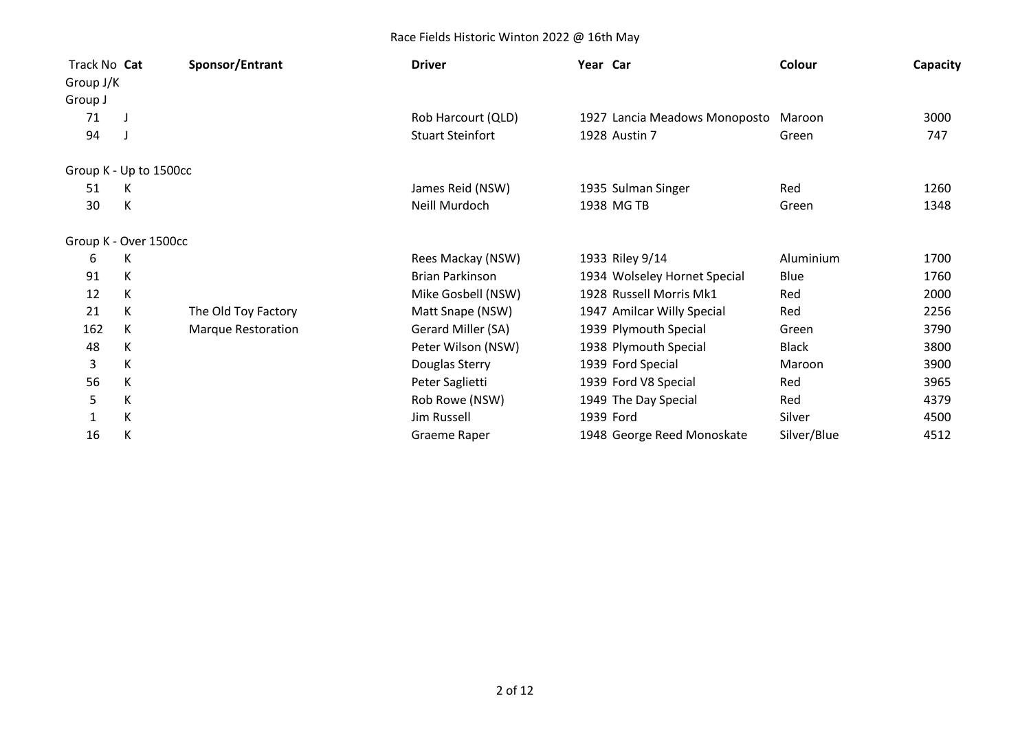| Track No Cat           |   | Sponsor/Entrant     | <b>Driver</b>           | Year Car                      | Colour       | Capacity |
|------------------------|---|---------------------|-------------------------|-------------------------------|--------------|----------|
| Group J/K              |   |                     |                         |                               |              |          |
| Group J                |   |                     |                         |                               |              |          |
| 71                     |   |                     | Rob Harcourt (QLD)      | 1927 Lancia Meadows Monoposto | Maroon       | 3000     |
| 94                     |   |                     | <b>Stuart Steinfort</b> | 1928 Austin 7                 | Green        | 747      |
| Group K - Up to 1500cc |   |                     |                         |                               |              |          |
| 51                     | К |                     | James Reid (NSW)        | 1935 Sulman Singer            | Red          | 1260     |
| 30                     | К |                     | Neill Murdoch           | 1938 MG TB                    | Green        | 1348     |
| Group K - Over 1500cc  |   |                     |                         |                               |              |          |
| 6                      | К |                     | Rees Mackay (NSW)       | 1933 Riley 9/14               | Aluminium    | 1700     |
| 91                     | K |                     | <b>Brian Parkinson</b>  | 1934 Wolseley Hornet Special  | Blue         | 1760     |
| 12                     | K |                     | Mike Gosbell (NSW)      | 1928 Russell Morris Mk1       | Red          | 2000     |
| 21                     | К | The Old Toy Factory | Matt Snape (NSW)        | 1947 Amilcar Willy Special    | Red          | 2256     |
| 162                    | К | Marque Restoration  | Gerard Miller (SA)      | 1939 Plymouth Special         | Green        | 3790     |
| 48                     | К |                     | Peter Wilson (NSW)      | 1938 Plymouth Special         | <b>Black</b> | 3800     |
| 3                      | K |                     | Douglas Sterry          | 1939 Ford Special             | Maroon       | 3900     |
| 56                     | К |                     | Peter Saglietti         | 1939 Ford V8 Special          | Red          | 3965     |
| 5                      | К |                     | Rob Rowe (NSW)          | 1949 The Day Special          | Red          | 4379     |
| 1                      | К |                     | Jim Russell             | 1939 Ford                     | Silver       | 4500     |
| 16                     | К |                     | Graeme Raper            | 1948 George Reed Monoskate    | Silver/Blue  | 4512     |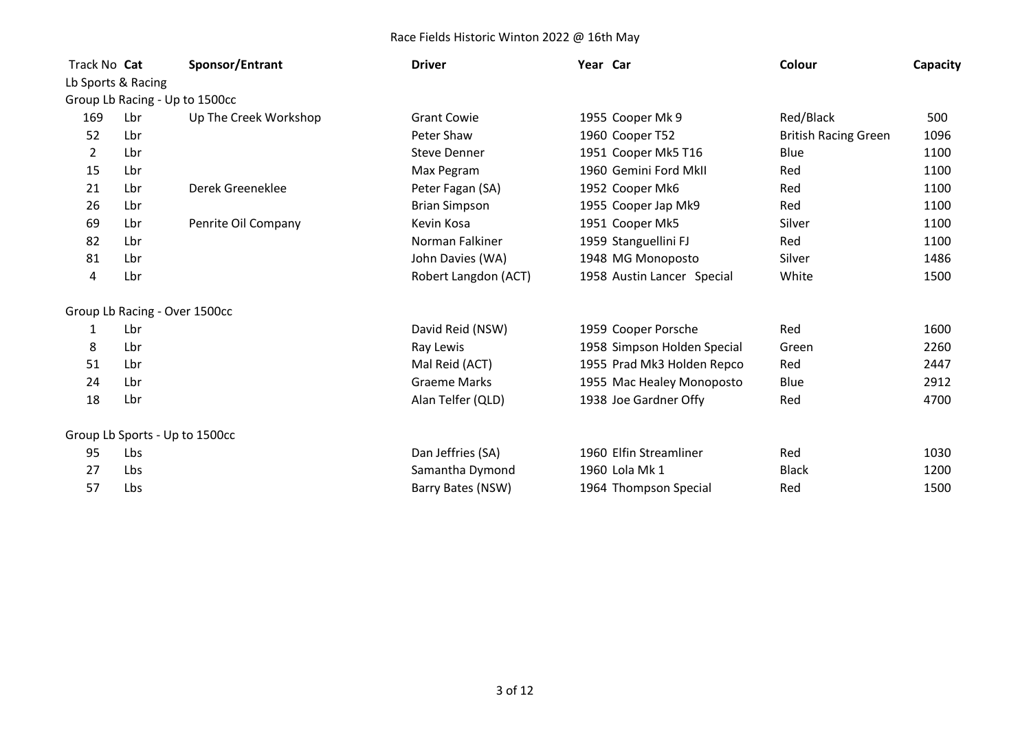| Track No Cat |                               | Sponsor/Entrant                | <b>Driver</b>        | Year Car                    | Colour                      | Capacity |
|--------------|-------------------------------|--------------------------------|----------------------|-----------------------------|-----------------------------|----------|
|              | Lb Sports & Racing            |                                |                      |                             |                             |          |
|              |                               | Group Lb Racing - Up to 1500cc |                      |                             |                             |          |
| 169          | Lbr                           | Up The Creek Workshop          | <b>Grant Cowie</b>   | 1955 Cooper Mk 9            | Red/Black                   | 500      |
| 52           | Lbr                           |                                | Peter Shaw           | 1960 Cooper T52             | <b>British Racing Green</b> | 1096     |
| 2            | Lbr                           |                                | <b>Steve Denner</b>  | 1951 Cooper Mk5 T16         | Blue                        | 1100     |
| 15           | Lbr                           |                                | Max Pegram           | 1960 Gemini Ford MkII       | Red                         | 1100     |
| 21           | Lbr                           | Derek Greeneklee               | Peter Fagan (SA)     | 1952 Cooper Mk6             | Red                         | 1100     |
| 26           | Lbr                           |                                | <b>Brian Simpson</b> | 1955 Cooper Jap Mk9         | Red                         | 1100     |
| 69           | Lbr                           | Penrite Oil Company            | Kevin Kosa           | 1951 Cooper Mk5             | Silver                      | 1100     |
| 82           | Lbr                           |                                | Norman Falkiner      | 1959 Stanguellini FJ        | Red                         | 1100     |
| 81           | Lbr                           |                                | John Davies (WA)     | 1948 MG Monoposto           | Silver                      | 1486     |
| 4            | Lbr                           |                                | Robert Langdon (ACT) | 1958 Austin Lancer Special  | White                       | 1500     |
|              | Group Lb Racing - Over 1500cc |                                |                      |                             |                             |          |
| 1            | Lbr                           |                                | David Reid (NSW)     | 1959 Cooper Porsche         | Red                         | 1600     |
| 8            | Lbr                           |                                | Ray Lewis            | 1958 Simpson Holden Special | Green                       | 2260     |
| 51           | Lbr                           |                                | Mal Reid (ACT)       | 1955 Prad Mk3 Holden Repco  | Red                         | 2447     |
| 24           | Lbr                           |                                | <b>Graeme Marks</b>  | 1955 Mac Healey Monoposto   | Blue                        | 2912     |
| 18           | Lbr                           |                                | Alan Telfer (QLD)    | 1938 Joe Gardner Offy       | Red                         | 4700     |
|              |                               | Group Lb Sports - Up to 1500cc |                      |                             |                             |          |
| 95           | Lbs                           |                                | Dan Jeffries (SA)    | 1960 Elfin Streamliner      | Red                         | 1030     |
| 27           | Lbs                           |                                | Samantha Dymond      | 1960 Lola Mk 1              | <b>Black</b>                | 1200     |
| 57           | Lbs                           |                                | Barry Bates (NSW)    | 1964 Thompson Special       | Red                         | 1500     |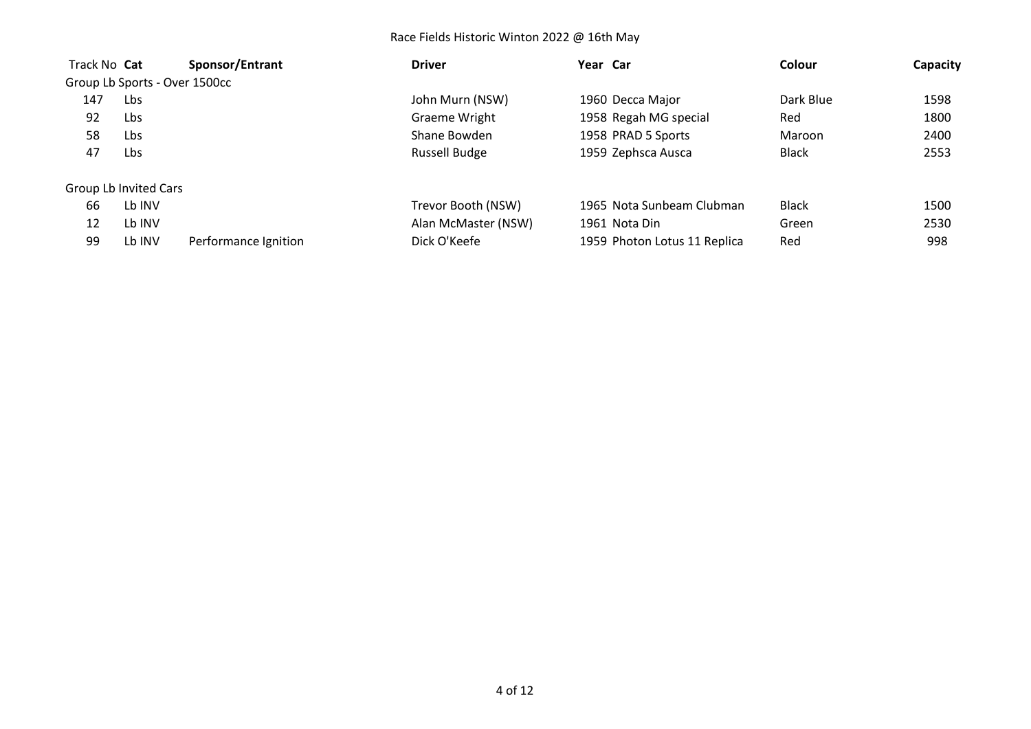| Track No Cat |                               | Sponsor/Entrant      | <b>Driver</b>        | Year Car                     | Colour       | Capacity |
|--------------|-------------------------------|----------------------|----------------------|------------------------------|--------------|----------|
|              | Group Lb Sports - Over 1500cc |                      |                      |                              |              |          |
| 147          | Lbs                           |                      | John Murn (NSW)      | 1960 Decca Major             | Dark Blue    | 1598     |
| 92           | Lbs                           |                      | Graeme Wright        | 1958 Regah MG special        | Red          | 1800     |
| 58           | Lbs                           |                      | Shane Bowden         | 1958 PRAD 5 Sports           | Maroon       | 2400     |
| 47           | Lbs                           |                      | <b>Russell Budge</b> | 1959 Zephsca Ausca           | <b>Black</b> | 2553     |
|              | Group Lb Invited Cars         |                      |                      |                              |              |          |
| 66           | Lb INV                        |                      | Trevor Booth (NSW)   | 1965 Nota Sunbeam Clubman    | <b>Black</b> | 1500     |
| 12           | Lb INV                        |                      | Alan McMaster (NSW)  | 1961 Nota Din                | Green        | 2530     |
| 99           | Lb INV                        | Performance Ignition | Dick O'Keefe         | 1959 Photon Lotus 11 Replica | Red          | 998      |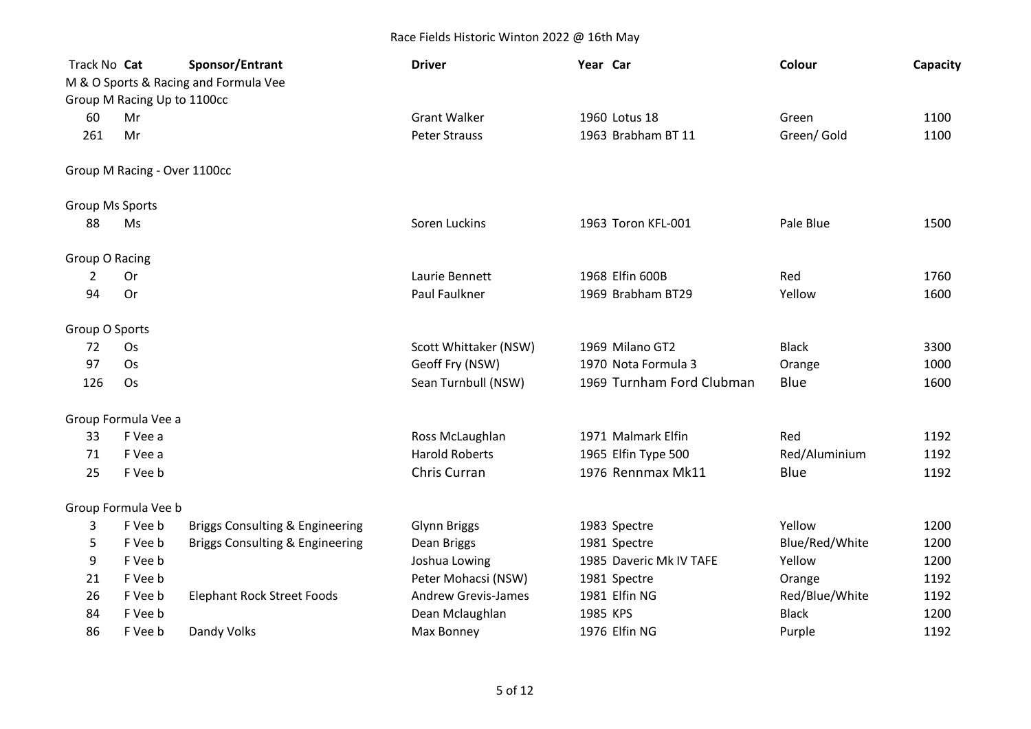| Track No Cat           | Group M Racing Up to 1100cc  | Sponsor/Entrant<br>M & O Sports & Racing and Formula Vee | <b>Driver</b>              | Year Car                  | Colour         | Capacity |
|------------------------|------------------------------|----------------------------------------------------------|----------------------------|---------------------------|----------------|----------|
| 60                     | Mr                           |                                                          | <b>Grant Walker</b>        | 1960 Lotus 18             | Green          | 1100     |
| 261                    | Mr                           |                                                          | <b>Peter Strauss</b>       | 1963 Brabham BT 11        | Green/Gold     | 1100     |
|                        | Group M Racing - Over 1100cc |                                                          |                            |                           |                |          |
| <b>Group Ms Sports</b> |                              |                                                          |                            |                           |                |          |
| 88                     | Ms                           |                                                          | Soren Luckins              | 1963 Toron KFL-001        | Pale Blue      | 1500     |
| Group O Racing         |                              |                                                          |                            |                           |                |          |
| 2                      | Or                           |                                                          | Laurie Bennett             | 1968 Elfin 600B           | Red            | 1760     |
| 94                     | Or                           |                                                          | Paul Faulkner              | 1969 Brabham BT29         | Yellow         | 1600     |
| Group O Sports         |                              |                                                          |                            |                           |                |          |
| 72                     | Os                           |                                                          | Scott Whittaker (NSW)      | 1969 Milano GT2           | <b>Black</b>   | 3300     |
| 97                     | Os                           |                                                          | Geoff Fry (NSW)            | 1970 Nota Formula 3       | Orange         | 1000     |
| 126                    | Os                           |                                                          | Sean Turnbull (NSW)        | 1969 Turnham Ford Clubman | Blue           | 1600     |
|                        | Group Formula Vee a          |                                                          |                            |                           |                |          |
| 33                     | F Vee a                      |                                                          | Ross McLaughlan            | 1971 Malmark Elfin        | Red            | 1192     |
| 71                     | F Vee a                      |                                                          | <b>Harold Roberts</b>      | 1965 Elfin Type 500       | Red/Aluminium  | 1192     |
| 25                     | F Vee b                      |                                                          | Chris Curran               | 1976 Rennmax Mk11         | Blue           | 1192     |
|                        | Group Formula Vee b          |                                                          |                            |                           |                |          |
| 3                      | F Vee b                      | <b>Briggs Consulting &amp; Engineering</b>               | <b>Glynn Briggs</b>        | 1983 Spectre              | Yellow         | 1200     |
| 5                      | F Vee b                      | <b>Briggs Consulting &amp; Engineering</b>               | Dean Briggs                | 1981 Spectre              | Blue/Red/White | 1200     |
| 9                      | F Vee b                      |                                                          | Joshua Lowing              | 1985 Daveric Mk IV TAFE   | Yellow         | 1200     |
| 21                     | F Vee b                      |                                                          | Peter Mohacsi (NSW)        | 1981 Spectre              | Orange         | 1192     |
| 26                     | F Vee b                      | <b>Elephant Rock Street Foods</b>                        | <b>Andrew Grevis-James</b> | 1981 Elfin NG             | Red/Blue/White | 1192     |
| 84                     | F Vee b                      |                                                          | Dean Mclaughlan            | 1985 KPS                  | <b>Black</b>   | 1200     |
| 86                     | F Vee b                      | Dandy Volks                                              | Max Bonney                 | 1976 Elfin NG             | Purple         | 1192     |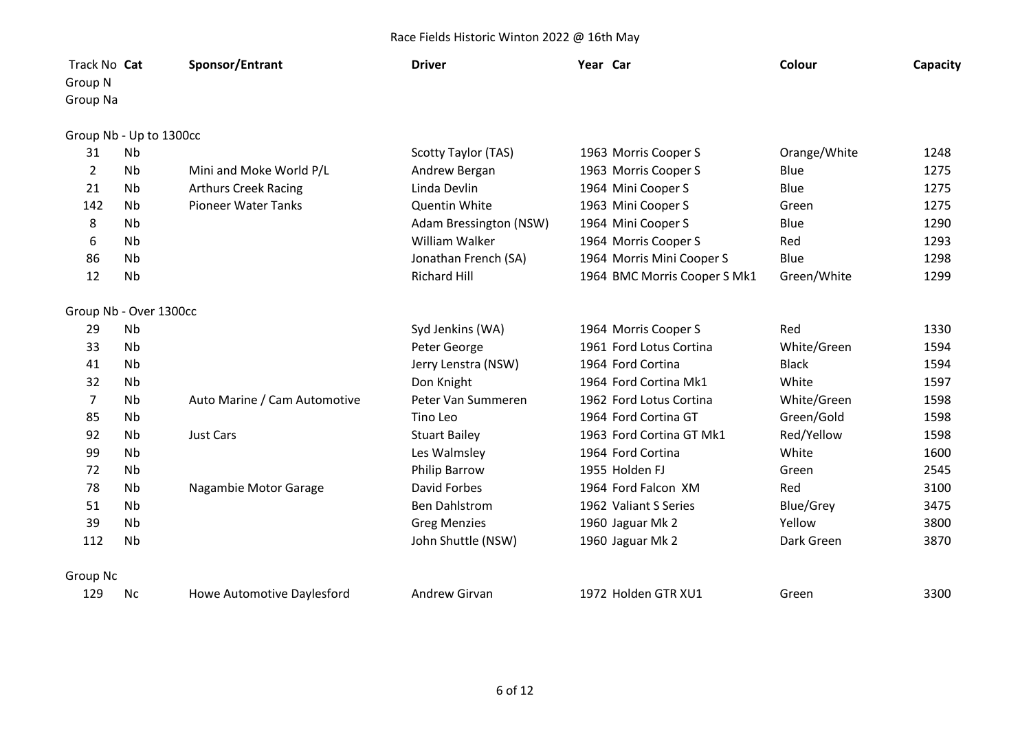| Track No Cat<br>Group N |           | Sponsor/Entrant                   | <b>Driver</b>          | Year Car                     | Colour           | Capacity |
|-------------------------|-----------|-----------------------------------|------------------------|------------------------------|------------------|----------|
| Group Na                |           |                                   |                        |                              |                  |          |
| Group Nb - Up to 1300cc |           |                                   |                        |                              |                  |          |
| 31                      | <b>Nb</b> |                                   | Scotty Taylor (TAS)    | 1963 Morris Cooper S         | Orange/White     | 1248     |
| $\overline{2}$          | <b>Nb</b> | Mini and Moke World P/L           | Andrew Bergan          | 1963 Morris Cooper S         | Blue             | 1275     |
| 21                      | <b>Nb</b> | <b>Arthurs Creek Racing</b>       | Linda Devlin           | 1964 Mini Cooper S           | Blue             | 1275     |
| 142                     | Nb        | <b>Pioneer Water Tanks</b>        | Quentin White          | 1963 Mini Cooper S           | Green            | 1275     |
| 8                       | <b>Nb</b> |                                   | Adam Bressington (NSW) | 1964 Mini Cooper S           | Blue             | 1290     |
| 6                       | <b>Nb</b> |                                   | William Walker         | 1964 Morris Cooper S         | Red              | 1293     |
| 86                      | <b>Nb</b> |                                   | Jonathan French (SA)   | 1964 Morris Mini Cooper S    | Blue             | 1298     |
| 12                      | <b>Nb</b> |                                   | <b>Richard Hill</b>    | 1964 BMC Morris Cooper S Mk1 | Green/White      | 1299     |
| Group Nb - Over 1300cc  |           |                                   |                        |                              |                  |          |
| 29                      | <b>Nb</b> |                                   | Syd Jenkins (WA)       | 1964 Morris Cooper S         | Red              | 1330     |
| 33                      | <b>Nb</b> |                                   | Peter George           | 1961 Ford Lotus Cortina      | White/Green      | 1594     |
| 41                      | <b>Nb</b> |                                   | Jerry Lenstra (NSW)    | 1964 Ford Cortina            | <b>Black</b>     | 1594     |
| 32                      | <b>Nb</b> |                                   | Don Knight             | 1964 Ford Cortina Mk1        | White            | 1597     |
| $\overline{7}$          | <b>Nb</b> | Auto Marine / Cam Automotive      | Peter Van Summeren     | 1962 Ford Lotus Cortina      | White/Green      | 1598     |
| 85                      | <b>Nb</b> |                                   | Tino Leo               | 1964 Ford Cortina GT         | Green/Gold       | 1598     |
| 92                      | <b>Nb</b> | <b>Just Cars</b>                  | <b>Stuart Bailey</b>   | 1963 Ford Cortina GT Mk1     | Red/Yellow       | 1598     |
| 99                      | <b>Nb</b> |                                   | Les Walmsley           | 1964 Ford Cortina            | White            | 1600     |
| 72                      | <b>Nb</b> |                                   | Philip Barrow          | 1955 Holden FJ               | Green            | 2545     |
| 78                      | <b>Nb</b> | Nagambie Motor Garage             | David Forbes           | 1964 Ford Falcon XM          | Red              | 3100     |
| 51                      | <b>Nb</b> |                                   | <b>Ben Dahlstrom</b>   | 1962 Valiant S Series        | <b>Blue/Grey</b> | 3475     |
| 39                      | Nb        |                                   | <b>Greg Menzies</b>    | 1960 Jaguar Mk 2             | Yellow           | 3800     |
| 112                     | <b>Nb</b> |                                   | John Shuttle (NSW)     | 1960 Jaguar Mk 2             | Dark Green       | 3870     |
| Group Nc                |           |                                   |                        |                              |                  |          |
| 129                     | <b>Nc</b> | <b>Howe Automotive Daylesford</b> | <b>Andrew Girvan</b>   | 1972 Holden GTR XU1          | Green            | 3300     |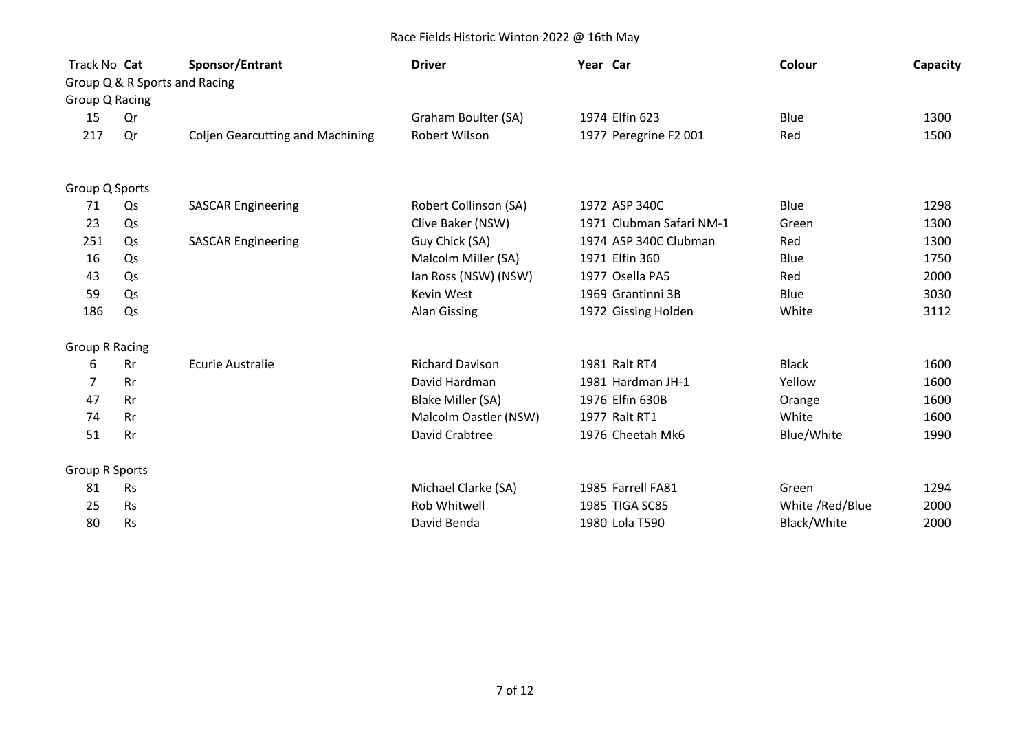| Track No Cat          |           | Sponsor/Entrant                         | <b>Driver</b>          | Year Car                 | Colour          | Capacity |
|-----------------------|-----------|-----------------------------------------|------------------------|--------------------------|-----------------|----------|
|                       |           | Group Q & R Sports and Racing           |                        |                          |                 |          |
| Group Q Racing        |           |                                         |                        |                          |                 |          |
| 15                    | Qr        |                                         | Graham Boulter (SA)    | 1974 Elfin 623           | Blue            | 1300     |
| 217                   | Qr        | <b>Coljen Gearcutting and Machining</b> | Robert Wilson          | 1977 Peregrine F2 001    | Red             | 1500     |
| Group Q Sports        |           |                                         |                        |                          |                 |          |
| 71                    | Qs        | <b>SASCAR Engineering</b>               | Robert Collinson (SA)  | 1972 ASP 340C            | Blue            | 1298     |
| 23                    | Qs        |                                         | Clive Baker (NSW)      | 1971 Clubman Safari NM-1 | Green           | 1300     |
| 251                   | Qs        | <b>SASCAR Engineering</b>               | Guy Chick (SA)         | 1974 ASP 340C Clubman    | Red             | 1300     |
| 16                    | Qs        |                                         | Malcolm Miller (SA)    | 1971 Elfin 360           | Blue            | 1750     |
| 43                    | Qs        |                                         | Ian Ross (NSW) (NSW)   | 1977 Osella PA5          | Red             | 2000     |
| 59                    | Qs        |                                         | Kevin West             | 1969 Grantinni 3B        | Blue            | 3030     |
| 186                   | Qs        |                                         | <b>Alan Gissing</b>    | 1972 Gissing Holden      | White           | 3112     |
| <b>Group R Racing</b> |           |                                         |                        |                          |                 |          |
| 6                     | <b>Rr</b> | <b>Ecurie Australie</b>                 | <b>Richard Davison</b> | 1981 Ralt RT4            | <b>Black</b>    | 1600     |
| 7                     | <b>Rr</b> |                                         | David Hardman          | 1981 Hardman JH-1        | Yellow          | 1600     |
| 47                    | <b>Rr</b> |                                         | Blake Miller (SA)      | 1976 Elfin 630B          | Orange          | 1600     |
| 74                    | <b>Rr</b> |                                         | Malcolm Oastler (NSW)  | 1977 Ralt RT1            | White           | 1600     |
| 51                    | <b>Rr</b> |                                         | David Crabtree         | 1976 Cheetah Mk6         | Blue/White      | 1990     |
| <b>Group R Sports</b> |           |                                         |                        |                          |                 |          |
| 81                    | <b>Rs</b> |                                         | Michael Clarke (SA)    | 1985 Farrell FA81        | Green           | 1294     |
| 25                    | <b>Rs</b> |                                         | Rob Whitwell           | 1985 TIGA SC85           | White /Red/Blue | 2000     |
| 80                    | <b>Rs</b> |                                         | David Benda            | 1980 Lola T590           | Black/White     | 2000     |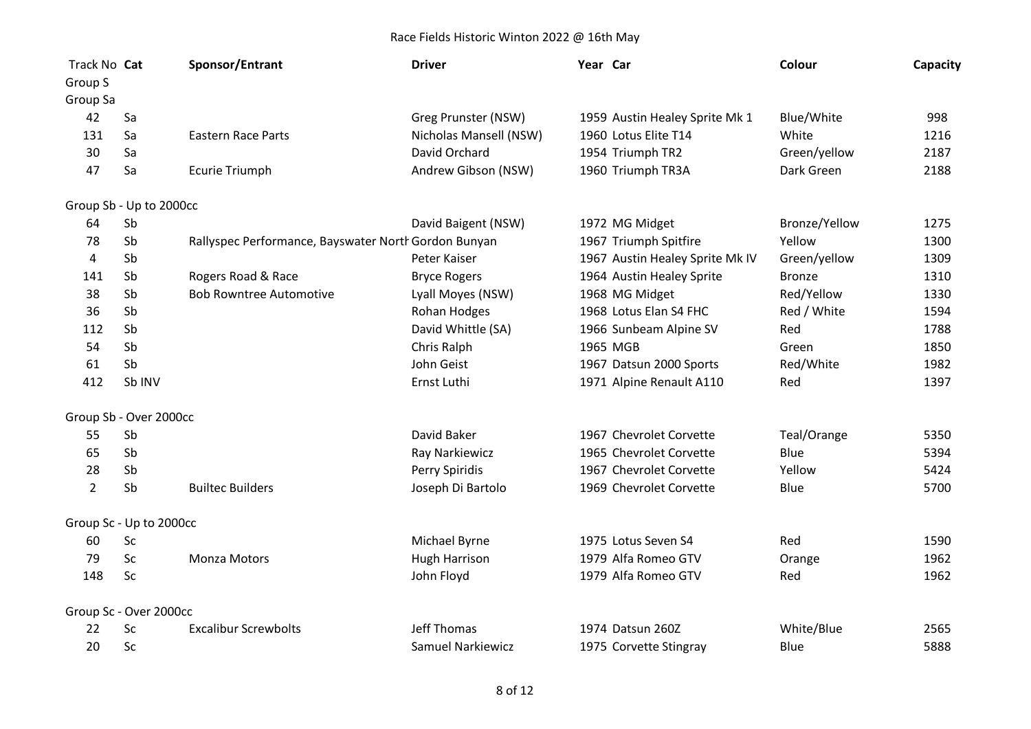| Track No Cat        |                         | Sponsor/Entrant                                      | <b>Driver</b>            | Year Car                        | Colour        | Capacity |
|---------------------|-------------------------|------------------------------------------------------|--------------------------|---------------------------------|---------------|----------|
| Group S<br>Group Sa |                         |                                                      |                          |                                 |               |          |
| 42                  | Sa                      |                                                      | Greg Prunster (NSW)      | 1959 Austin Healey Sprite Mk 1  | Blue/White    | 998      |
| 131                 | Sa                      | <b>Eastern Race Parts</b>                            | Nicholas Mansell (NSW)   | 1960 Lotus Elite T14            | White         | 1216     |
| 30                  | Sa                      |                                                      | David Orchard            | 1954 Triumph TR2                | Green/yellow  | 2187     |
| 47                  | Sa                      | <b>Ecurie Triumph</b>                                | Andrew Gibson (NSW)      | 1960 Triumph TR3A               | Dark Green    | 2188     |
|                     | Group Sb - Up to 2000cc |                                                      |                          |                                 |               |          |
| 64                  | Sb                      |                                                      | David Baigent (NSW)      | 1972 MG Midget                  | Bronze/Yellow | 1275     |
| 78                  | Sb                      | Rallyspec Performance, Bayswater North Gordon Bunyan |                          | 1967 Triumph Spitfire           | Yellow        | 1300     |
| 4                   | Sb                      |                                                      | Peter Kaiser             | 1967 Austin Healey Sprite Mk IV | Green/yellow  | 1309     |
| 141                 | Sb                      | Rogers Road & Race                                   | <b>Bryce Rogers</b>      | 1964 Austin Healey Sprite       | <b>Bronze</b> | 1310     |
| 38                  | Sb                      | <b>Bob Rowntree Automotive</b>                       | Lyall Moyes (NSW)        | 1968 MG Midget                  | Red/Yellow    | 1330     |
| 36                  | Sb                      |                                                      | Rohan Hodges             | 1968 Lotus Elan S4 FHC          | Red / White   | 1594     |
| 112                 | Sb                      |                                                      | David Whittle (SA)       | 1966 Sunbeam Alpine SV          | Red           | 1788     |
| 54                  | Sb                      |                                                      | Chris Ralph              | 1965 MGB                        | Green         | 1850     |
| 61                  | Sb                      |                                                      | John Geist               | 1967 Datsun 2000 Sports         | Red/White     | 1982     |
| 412                 | Sb INV                  |                                                      | Ernst Luthi              | 1971 Alpine Renault A110        | Red           | 1397     |
|                     | Group Sb - Over 2000cc  |                                                      |                          |                                 |               |          |
| 55                  | Sb                      |                                                      | David Baker              | 1967 Chevrolet Corvette         | Teal/Orange   | 5350     |
| 65                  | Sb                      |                                                      | Ray Narkiewicz           | 1965 Chevrolet Corvette         | Blue          | 5394     |
| 28                  | Sb                      |                                                      | Perry Spiridis           | 1967 Chevrolet Corvette         | Yellow        | 5424     |
| $\overline{2}$      | Sb                      | <b>Builtec Builders</b>                              | Joseph Di Bartolo        | 1969 Chevrolet Corvette         | Blue          | 5700     |
|                     | Group Sc - Up to 2000cc |                                                      |                          |                                 |               |          |
| 60                  | Sc                      |                                                      | Michael Byrne            | 1975 Lotus Seven S4             | Red           | 1590     |
| 79                  | Sc                      | <b>Monza Motors</b>                                  | <b>Hugh Harrison</b>     | 1979 Alfa Romeo GTV             | Orange        | 1962     |
| 148                 | Sc                      |                                                      | John Floyd               | 1979 Alfa Romeo GTV             | Red           | 1962     |
|                     | Group Sc - Over 2000cc  |                                                      |                          |                                 |               |          |
| 22                  | Sc                      | <b>Excalibur Screwbolts</b>                          | Jeff Thomas              | 1974 Datsun 260Z                | White/Blue    | 2565     |
| 20                  | Sc                      |                                                      | <b>Samuel Narkiewicz</b> | 1975 Corvette Stingray          | Blue          | 5888     |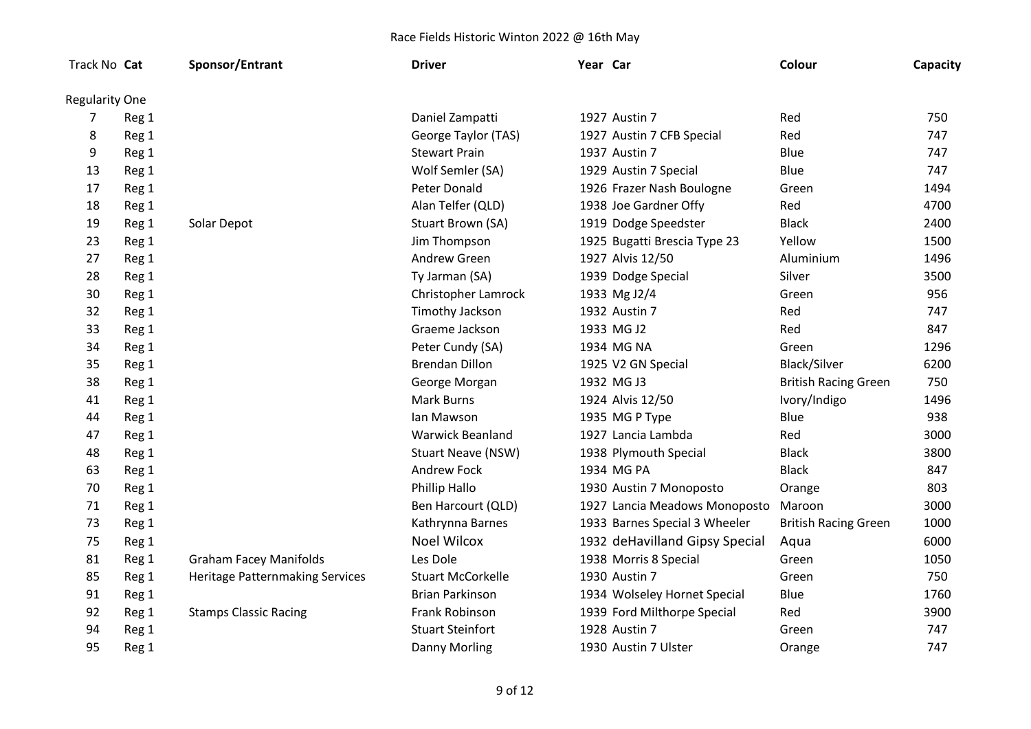| Track No Cat   |       | Sponsor/Entrant                        | <b>Driver</b>             | Year Car |                                | Colour                      | Capacity |
|----------------|-------|----------------------------------------|---------------------------|----------|--------------------------------|-----------------------------|----------|
| Regularity One |       |                                        |                           |          |                                |                             |          |
| 7              | Reg 1 |                                        | Daniel Zampatti           |          | 1927 Austin 7                  | Red                         | 750      |
| 8              | Reg 1 |                                        | George Taylor (TAS)       |          | 1927 Austin 7 CFB Special      | Red                         | 747      |
| 9              | Reg 1 |                                        | <b>Stewart Prain</b>      |          | 1937 Austin 7                  | Blue                        | 747      |
| 13             | Reg 1 |                                        | Wolf Semler (SA)          |          | 1929 Austin 7 Special          | Blue                        | 747      |
| 17             | Reg 1 |                                        | Peter Donald              |          | 1926 Frazer Nash Boulogne      | Green                       | 1494     |
| 18             | Reg 1 |                                        | Alan Telfer (QLD)         |          | 1938 Joe Gardner Offy          | Red                         | 4700     |
| 19             | Reg 1 | Solar Depot                            | Stuart Brown (SA)         |          | 1919 Dodge Speedster           | <b>Black</b>                | 2400     |
| 23             | Reg 1 |                                        | Jim Thompson              |          | 1925 Bugatti Brescia Type 23   | Yellow                      | 1500     |
| 27             | Reg 1 |                                        | Andrew Green              |          | 1927 Alvis 12/50               | Aluminium                   | 1496     |
| 28             | Reg 1 |                                        | Ty Jarman (SA)            |          | 1939 Dodge Special             | Silver                      | 3500     |
| 30             | Reg 1 |                                        | Christopher Lamrock       |          | 1933 Mg J2/4                   | Green                       | 956      |
| 32             | Reg 1 |                                        | Timothy Jackson           |          | 1932 Austin 7                  | Red                         | 747      |
| 33             | Reg 1 |                                        | Graeme Jackson            |          | 1933 MG J2                     | Red                         | 847      |
| 34             | Reg 1 |                                        | Peter Cundy (SA)          |          | 1934 MG NA                     | Green                       | 1296     |
| 35             | Reg 1 |                                        | <b>Brendan Dillon</b>     |          | 1925 V2 GN Special             | Black/Silver                | 6200     |
| 38             | Reg 1 |                                        | George Morgan             |          | 1932 MG J3                     | <b>British Racing Green</b> | 750      |
| 41             | Reg 1 |                                        | <b>Mark Burns</b>         |          | 1924 Alvis 12/50               | Ivory/Indigo                | 1496     |
| 44             | Reg 1 |                                        | lan Mawson                |          | 1935 MG P Type                 | Blue                        | 938      |
| 47             | Reg 1 |                                        | <b>Warwick Beanland</b>   |          | 1927 Lancia Lambda             | Red                         | 3000     |
| 48             | Reg 1 |                                        | <b>Stuart Neave (NSW)</b> |          | 1938 Plymouth Special          | <b>Black</b>                | 3800     |
| 63             | Reg 1 |                                        | Andrew Fock               |          | 1934 MG PA                     | <b>Black</b>                | 847      |
| 70             | Reg 1 |                                        | Phillip Hallo             |          | 1930 Austin 7 Monoposto        | Orange                      | 803      |
| 71             | Reg 1 |                                        | Ben Harcourt (QLD)        |          | 1927 Lancia Meadows Monoposto  | Maroon                      | 3000     |
| 73             | Reg 1 |                                        | Kathrynna Barnes          |          | 1933 Barnes Special 3 Wheeler  | <b>British Racing Green</b> | 1000     |
| 75             | Reg 1 |                                        | <b>Noel Wilcox</b>        |          | 1932 deHavilland Gipsy Special | Aqua                        | 6000     |
| 81             | Reg 1 | <b>Graham Facey Manifolds</b>          | Les Dole                  |          | 1938 Morris 8 Special          | Green                       | 1050     |
| 85             | Reg 1 | <b>Heritage Patternmaking Services</b> | <b>Stuart McCorkelle</b>  |          | 1930 Austin 7                  | Green                       | 750      |
| 91             | Reg 1 |                                        | <b>Brian Parkinson</b>    |          | 1934 Wolseley Hornet Special   | Blue                        | 1760     |
| 92             | Reg 1 | <b>Stamps Classic Racing</b>           | Frank Robinson            |          | 1939 Ford Milthorpe Special    | Red                         | 3900     |
| 94             | Reg 1 |                                        | <b>Stuart Steinfort</b>   |          | 1928 Austin 7                  | Green                       | 747      |
| 95             | Reg 1 |                                        | Danny Morling             |          | 1930 Austin 7 Ulster           | Orange                      | 747      |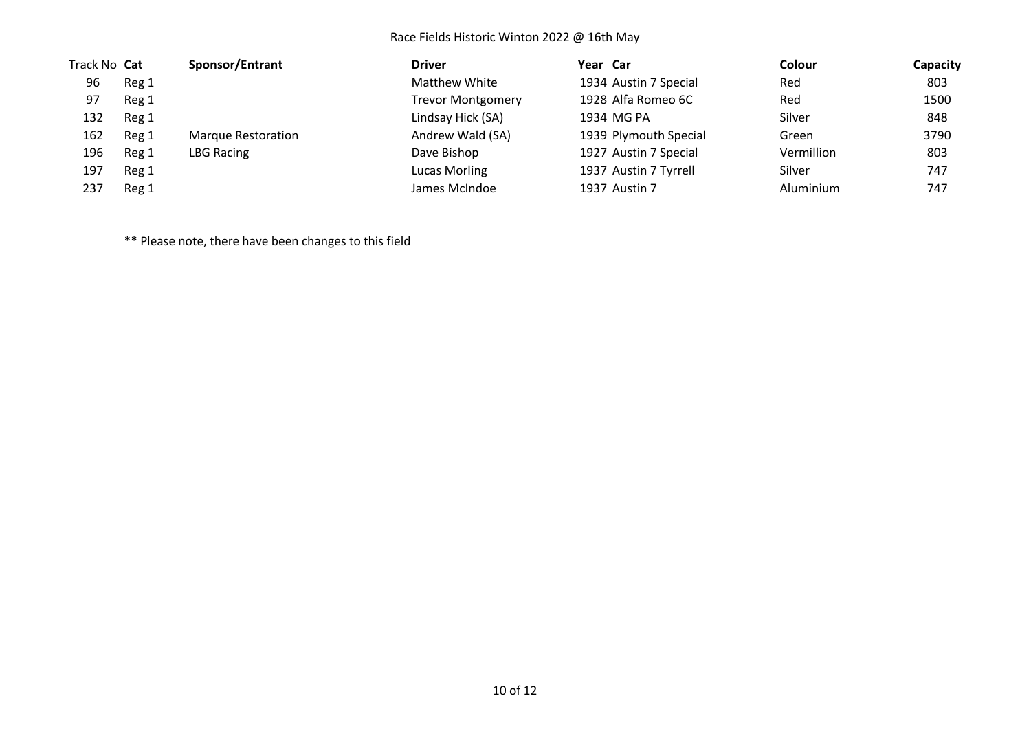| Track No Cat |       | Sponsor/Entrant           | <b>Driver</b>            | Year Car              | Colour     | Capacity |
|--------------|-------|---------------------------|--------------------------|-----------------------|------------|----------|
| 96           | Reg 1 |                           | <b>Matthew White</b>     | 1934 Austin 7 Special | Red        | 803      |
| 97           | Reg 1 |                           | <b>Trevor Montgomery</b> | 1928 Alfa Romeo 6C    | Red        | 1500     |
| 132          | Reg 1 |                           | Lindsay Hick (SA)        | 1934 MG PA            | Silver     | 848      |
| 162          | Reg 1 | <b>Marque Restoration</b> | Andrew Wald (SA)         | 1939 Plymouth Special | Green      | 3790     |
| 196          | Reg 1 | LBG Racing                | Dave Bishop              | 1927 Austin 7 Special | Vermillion | 803      |
| 197          | Reg 1 |                           | Lucas Morling            | 1937 Austin 7 Tyrrell | Silver     | 747      |
| 237          | Reg 1 |                           | James McIndoe            | 1937 Austin 7         | Aluminium  | 747      |

\*\* Please note, there have been changes to this field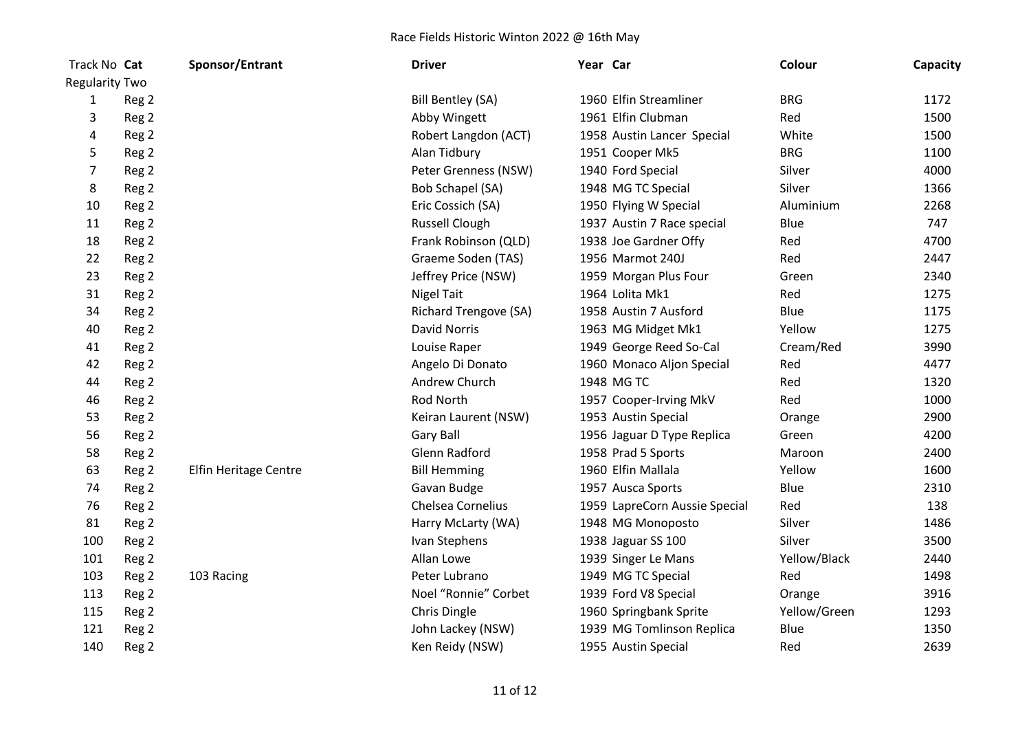| Track No Cat          |       | Sponsor/Entrant       | <b>Driver</b>                | Year Car |                               | Colour       | Capacity |
|-----------------------|-------|-----------------------|------------------------------|----------|-------------------------------|--------------|----------|
| <b>Regularity Two</b> |       |                       |                              |          |                               |              |          |
| 1                     | Reg 2 |                       | Bill Bentley (SA)            |          | 1960 Elfin Streamliner        | <b>BRG</b>   | 1172     |
| 3                     | Reg 2 |                       | Abby Wingett                 |          | 1961 Elfin Clubman            | Red          | 1500     |
| 4                     | Reg 2 |                       | Robert Langdon (ACT)         |          | 1958 Austin Lancer Special    | White        | 1500     |
| 5                     | Reg 2 |                       | Alan Tidbury                 |          | 1951 Cooper Mk5               | <b>BRG</b>   | 1100     |
| 7                     | Reg 2 |                       | Peter Grenness (NSW)         |          | 1940 Ford Special             | Silver       | 4000     |
| 8                     | Reg 2 |                       | Bob Schapel (SA)             |          | 1948 MG TC Special            | Silver       | 1366     |
| 10                    | Reg 2 |                       | Eric Cossich (SA)            |          | 1950 Flying W Special         | Aluminium    | 2268     |
| 11                    | Reg 2 |                       | <b>Russell Clough</b>        |          | 1937 Austin 7 Race special    | Blue         | 747      |
| 18                    | Reg 2 |                       | Frank Robinson (QLD)         |          | 1938 Joe Gardner Offy         | Red          | 4700     |
| 22                    | Reg 2 |                       | Graeme Soden (TAS)           |          | 1956 Marmot 240J              | Red          | 2447     |
| 23                    | Reg 2 |                       | Jeffrey Price (NSW)          |          | 1959 Morgan Plus Four         | Green        | 2340     |
| 31                    | Reg 2 |                       | <b>Nigel Tait</b>            |          | 1964 Lolita Mk1               | Red          | 1275     |
| 34                    | Reg 2 |                       | <b>Richard Trengove (SA)</b> |          | 1958 Austin 7 Ausford         | Blue         | 1175     |
| 40                    | Reg 2 |                       | <b>David Norris</b>          |          | 1963 MG Midget Mk1            | Yellow       | 1275     |
| 41                    | Reg 2 |                       | Louise Raper                 |          | 1949 George Reed So-Cal       | Cream/Red    | 3990     |
| 42                    | Reg 2 |                       | Angelo Di Donato             |          | 1960 Monaco Aljon Special     | Red          | 4477     |
| 44                    | Reg 2 |                       | Andrew Church                |          | 1948 MG TC                    | Red          | 1320     |
| 46                    | Reg 2 |                       | <b>Rod North</b>             |          | 1957 Cooper-Irving MkV        | Red          | 1000     |
| 53                    | Reg 2 |                       | Keiran Laurent (NSW)         |          | 1953 Austin Special           | Orange       | 2900     |
| 56                    | Reg 2 |                       | <b>Gary Ball</b>             |          | 1956 Jaguar D Type Replica    | Green        | 4200     |
| 58                    | Reg 2 |                       | <b>Glenn Radford</b>         |          | 1958 Prad 5 Sports            | Maroon       | 2400     |
| 63                    | Reg 2 | Elfin Heritage Centre | <b>Bill Hemming</b>          |          | 1960 Elfin Mallala            | Yellow       | 1600     |
| 74                    | Reg 2 |                       | Gavan Budge                  |          | 1957 Ausca Sports             | Blue         | 2310     |
| 76                    | Reg 2 |                       | Chelsea Cornelius            |          | 1959 LapreCorn Aussie Special | Red          | 138      |
| 81                    | Reg 2 |                       | Harry McLarty (WA)           |          | 1948 MG Monoposto             | Silver       | 1486     |
| 100                   | Reg 2 |                       | Ivan Stephens                |          | 1938 Jaguar SS 100            | Silver       | 3500     |
| 101                   | Reg 2 |                       | Allan Lowe                   |          | 1939 Singer Le Mans           | Yellow/Black | 2440     |
| 103                   | Reg 2 | 103 Racing            | Peter Lubrano                |          | 1949 MG TC Special            | Red          | 1498     |
| 113                   | Reg 2 |                       | Noel "Ronnie" Corbet         |          | 1939 Ford V8 Special          | Orange       | 3916     |
| 115                   | Reg 2 |                       | Chris Dingle                 |          | 1960 Springbank Sprite        | Yellow/Green | 1293     |
| 121                   | Reg 2 |                       | John Lackey (NSW)            |          | 1939 MG Tomlinson Replica     | Blue         | 1350     |
| 140                   | Reg 2 |                       | Ken Reidy (NSW)              |          | 1955 Austin Special           | Red          | 2639     |